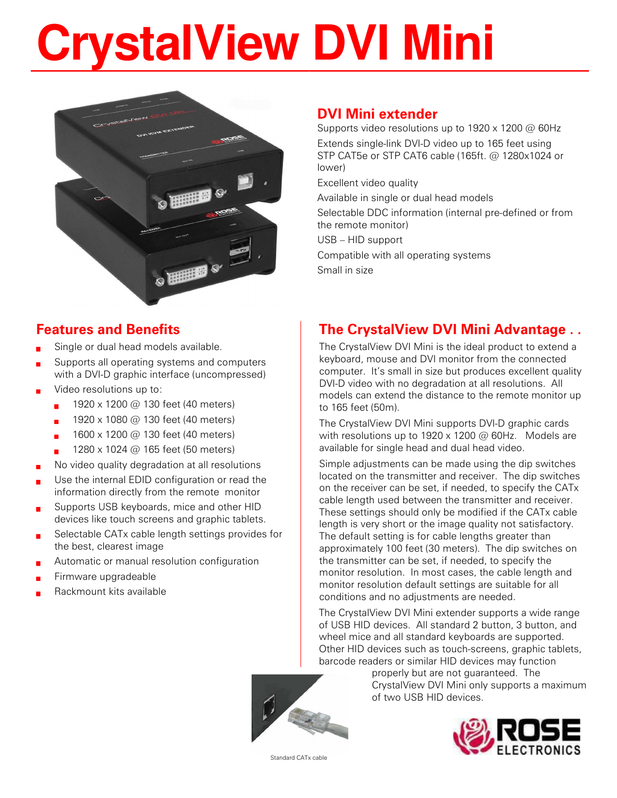# **CrystalView DVI Mini**



## DVI Mini extender

Supports video resolutions up to 1920 x 1200 @ 60Hz Extends single-link DVI-D video up to 165 feet using STP CAT5e or STP CAT6 cable (165ft. @ 1280x1024 or lower)

Excellent video quality

Available in single or dual head models

Selectable DDC information (internal pre-defined or from the remote monitor)

USB – HID support

Compatible with all operating systems

Small in size

### Features and Benefits

- Single or dual head models available.
- Supports all operating systems and computers with a DVI-D graphic interface (uncompressed)
- Video resolutions up to:
	- 1920 x 1200 @ 130 feet (40 meters)
	- **1920** x 1080 @ 130 feet (40 meters)
	- 1600 x 1200 @ 130 feet (40 meters)
	- 1280 x 1024 @ 165 feet (50 meters)
- No video quality degradation at all resolutions
- Use the internal EDID configuration or read the information directly from the remote monitor
- Supports USB keyboards, mice and other HID devices like touch screens and graphic tablets.
- Selectable CATx cable length settings provides for the best, clearest image
- Automatic or manual resolution configuration
- Firmware upgradeable
- Rackmount kits available

# The CrystalView DVI Mini Advantage . .

The CrystalView DVI Mini is the ideal product to extend a keyboard, mouse and DVI monitor from the connected computer. It's small in size but produces excellent quality DVI-D video with no degradation at all resolutions. All models can extend the distance to the remote monitor up to 165 feet (50m).

The CrystalView DVI Mini supports DVI-D graphic cards with resolutions up to 1920 x 1200  $\omega$  60Hz. Models are available for single head and dual head video.

Simple adjustments can be made using the dip switches located on the transmitter and receiver. The dip switches on the receiver can be set, if needed, to specify the CATx cable length used between the transmitter and receiver. These settings should only be modified if the CATx cable length is very short or the image quality not satisfactory. The default setting is for cable lengths greater than approximately 100 feet (30 meters). The dip switches on the transmitter can be set, if needed, to specify the monitor resolution. In most cases, the cable length and monitor resolution default settings are suitable for all conditions and no adjustments are needed.

The CrystalView DVI Mini extender supports a wide range of USB HID devices. All standard 2 button, 3 button, and wheel mice and all standard keyboards are supported. Other HID devices such as touch-screens, graphic tablets, barcode readers or similar HID devices may function



properly but are not guaranteed. The CrystalView DVI Mini only supports a maximum of two USB HID devices.



Standard CATx cable